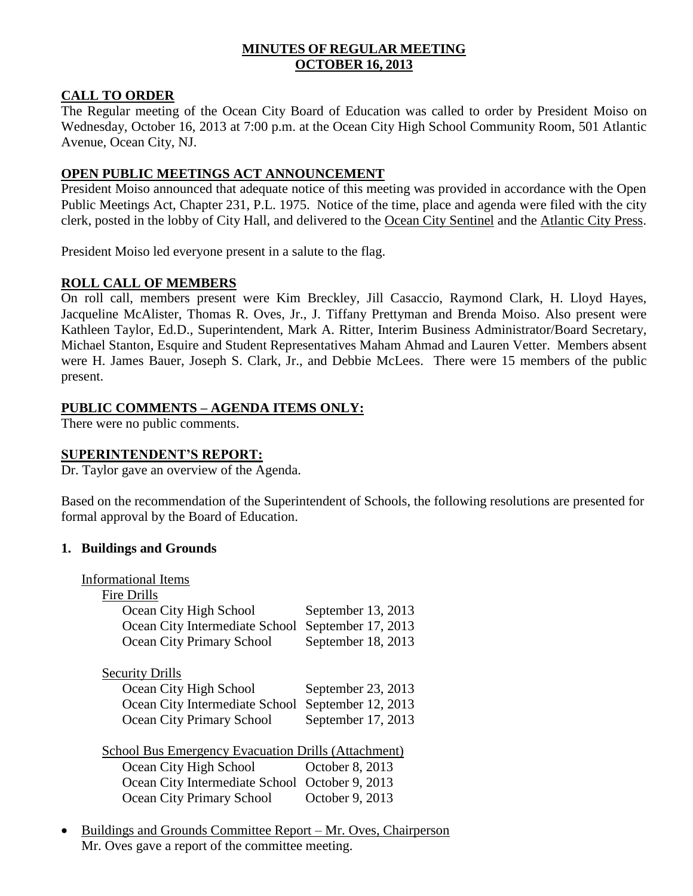## **MINUTES OF REGULAR MEETING OCTOBER 16, 2013**

## **CALL TO ORDER**

The Regular meeting of the Ocean City Board of Education was called to order by President Moiso on Wednesday, October 16, 2013 at 7:00 p.m. at the Ocean City High School Community Room, 501 Atlantic Avenue, Ocean City, NJ.

## **OPEN PUBLIC MEETINGS ACT ANNOUNCEMENT**

President Moiso announced that adequate notice of this meeting was provided in accordance with the Open Public Meetings Act, Chapter 231, P.L. 1975. Notice of the time, place and agenda were filed with the city clerk, posted in the lobby of City Hall, and delivered to the Ocean City Sentinel and the Atlantic City Press.

President Moiso led everyone present in a salute to the flag.

## **ROLL CALL OF MEMBERS**

On roll call, members present were Kim Breckley, Jill Casaccio, Raymond Clark, H. Lloyd Hayes, Jacqueline McAlister, Thomas R. Oves, Jr., J. Tiffany Prettyman and Brenda Moiso. Also present were Kathleen Taylor, Ed.D., Superintendent, Mark A. Ritter, Interim Business Administrator/Board Secretary, Michael Stanton, Esquire and Student Representatives Maham Ahmad and Lauren Vetter. Members absent were H. James Bauer, Joseph S. Clark, Jr., and Debbie McLees. There were 15 members of the public present.

## **PUBLIC COMMENTS – AGENDA ITEMS ONLY:**

There were no public comments.

## **SUPERINTENDENT'S REPORT:**

Dr. Taylor gave an overview of the Agenda.

Based on the recommendation of the Superintendent of Schools, the following resolutions are presented for formal approval by the Board of Education.

## **1. Buildings and Grounds**

| <b>Informational Items</b>                                 |                    |
|------------------------------------------------------------|--------------------|
| Fire Drills                                                |                    |
| Ocean City High School                                     | September 13, 2013 |
| Ocean City Intermediate School                             | September 17, 2013 |
| Ocean City Primary School                                  | September 18, 2013 |
| <b>Security Drills</b>                                     |                    |
| Ocean City High School                                     | September 23, 2013 |
| Ocean City Intermediate School                             | September 12, 2013 |
| <b>Ocean City Primary School</b>                           | September 17, 2013 |
| <b>School Bus Emergency Evacuation Drills (Attachment)</b> |                    |
| Ocean City High School                                     | October 8, 2013    |
| Ocean City Intermediate School                             | October 9, 2013    |
| <b>Ocean City Primary School</b>                           | October 9, 2013    |
|                                                            |                    |

• Buildings and Grounds Committee Report – Mr. Oves, Chairperson Mr. Oves gave a report of the committee meeting.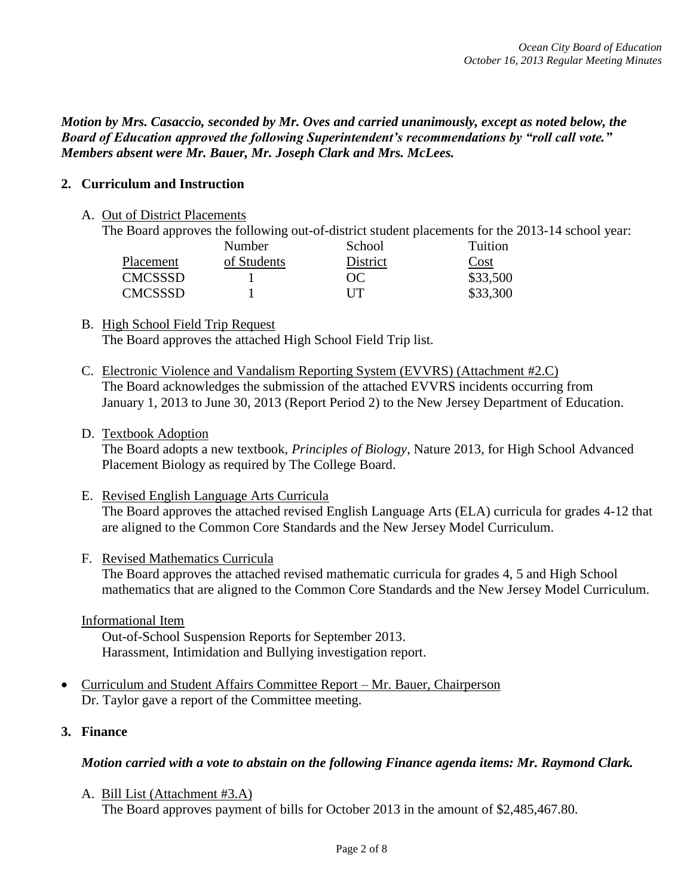*Motion by Mrs. Casaccio, seconded by Mr. Oves and carried unanimously, except as noted below, the Board of Education approved the following Superintendent's recommendations by "roll call vote." Members absent were Mr. Bauer, Mr. Joseph Clark and Mrs. McLees.*

## **2. Curriculum and Instruction**

#### A. Out of District Placements

The Board approves the following out-of-district student placements for the 2013-14 school year:

|                | Number      | School   | Tuition  |
|----------------|-------------|----------|----------|
| Placement      | of Students | District | Cost     |
| <b>CMCSSSD</b> |             | OC.      | \$33,500 |
| <b>CMCSSSD</b> |             | UT       | \$33,300 |

#### B. High School Field Trip Request The Board approves the attached High School Field Trip list.

C. Electronic Violence and Vandalism Reporting System (EVVRS) (Attachment #2.C) The Board acknowledges the submission of the attached EVVRS incidents occurring from January 1, 2013 to June 30, 2013 (Report Period 2) to the New Jersey Department of Education.

## D. Textbook Adoption

The Board adopts a new textbook, *Principles of Biology*, Nature 2013, for High School Advanced Placement Biology as required by The College Board.

E. Revised English Language Arts Curricula The Board approves the attached revised English Language Arts (ELA) curricula for grades 4-12 that are aligned to the Common Core Standards and the New Jersey Model Curriculum.

## F. Revised Mathematics Curricula

The Board approves the attached revised mathematic curricula for grades 4, 5 and High School mathematics that are aligned to the Common Core Standards and the New Jersey Model Curriculum.

#### Informational Item

Out-of-School Suspension Reports for September 2013. Harassment, Intimidation and Bullying investigation report.

- Curriculum and Student Affairs Committee Report Mr. Bauer, Chairperson Dr. Taylor gave a report of the Committee meeting.
- **3. Finance**

## *Motion carried with a vote to abstain on the following Finance agenda items: Mr. Raymond Clark.*

A. Bill List (Attachment #3.A) The Board approves payment of bills for October 2013 in the amount of \$2,485,467.80.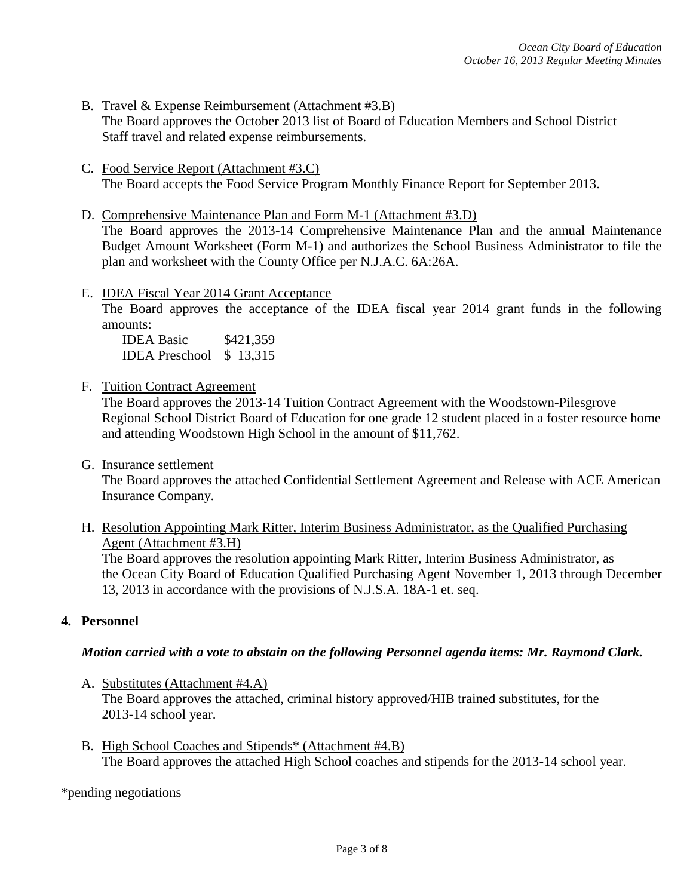- B. Travel & Expense Reimbursement (Attachment #3.B) The Board approves the October 2013 list of Board of Education Members and School District Staff travel and related expense reimbursements.
- C. Food Service Report (Attachment #3.C) The Board accepts the Food Service Program Monthly Finance Report for September 2013.
- D. Comprehensive Maintenance Plan and Form M-1 (Attachment #3.D) The Board approves the 2013-14 Comprehensive Maintenance Plan and the annual Maintenance Budget Amount Worksheet (Form M-1) and authorizes the School Business Administrator to file the plan and worksheet with the County Office per N.J.A.C. 6A:26A.
- E. IDEA Fiscal Year 2014 Grant Acceptance

The Board approves the acceptance of the IDEA fiscal year 2014 grant funds in the following amounts:

IDEA Basic \$421,359 IDEA Preschool \$ 13,315

F. Tuition Contract Agreement

The Board approves the 2013-14 Tuition Contract Agreement with the Woodstown-Pilesgrove Regional School District Board of Education for one grade 12 student placed in a foster resource home and attending Woodstown High School in the amount of \$11,762.

G. Insurance settlement

The Board approves the attached Confidential Settlement Agreement and Release with ACE American Insurance Company.

H. Resolution Appointing Mark Ritter, Interim Business Administrator, as the Qualified Purchasing Agent (Attachment #3.H)

The Board approves the resolution appointing Mark Ritter, Interim Business Administrator, as the Ocean City Board of Education Qualified Purchasing Agent November 1, 2013 through December 13, 2013 in accordance with the provisions of N.J.S.A. 18A-1 et. seq.

## **4. Personnel**

## *Motion carried with a vote to abstain on the following Personnel agenda items: Mr. Raymond Clark.*

- A. Substitutes (Attachment #4.A) The Board approves the attached, criminal history approved/HIB trained substitutes, for the 2013-14 school year.
- B. High School Coaches and Stipends\* (Attachment #4.B) The Board approves the attached High School coaches and stipends for the 2013-14 school year.

\*pending negotiations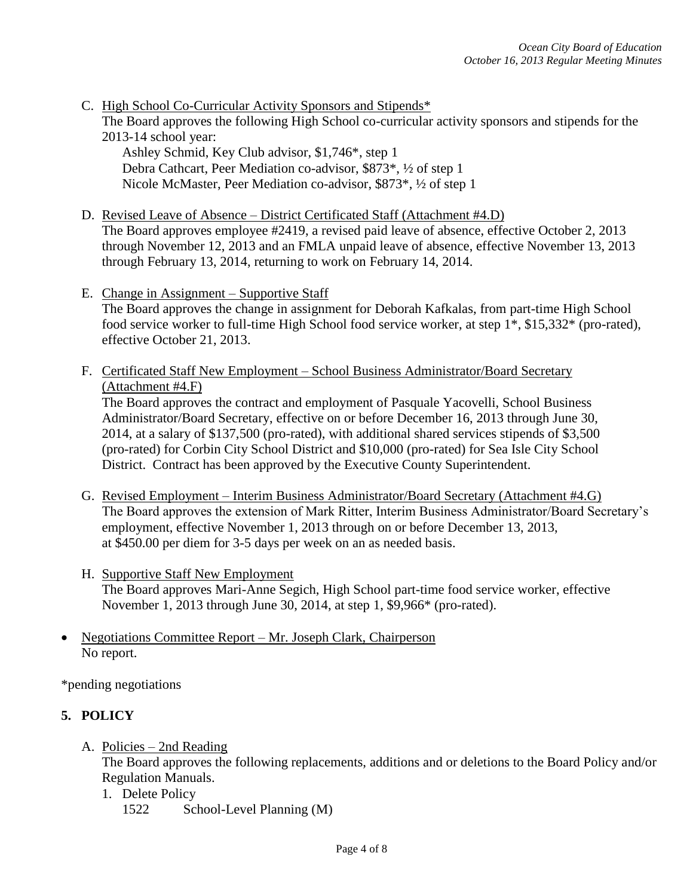- C. High School Co-Curricular Activity Sponsors and Stipends\* The Board approves the following High School co-curricular activity sponsors and stipends for the 2013-14 school year:
	- Ashley Schmid, Key Club advisor, \$1,746\*, step 1 Debra Cathcart, Peer Mediation co-advisor, \$873\*, ½ of step 1 Nicole McMaster, Peer Mediation co-advisor, \$873\*, ½ of step 1
- D. Revised Leave of Absence District Certificated Staff (Attachment #4.D) The Board approves employee #2419, a revised paid leave of absence, effective October 2, 2013 through November 12, 2013 and an FMLA unpaid leave of absence, effective November 13, 2013 through February 13, 2014, returning to work on February 14, 2014.
- E. Change in Assignment Supportive Staff The Board approves the change in assignment for Deborah Kafkalas, from part-time High School food service worker to full-time High School food service worker, at step 1\*, \$15,332\* (pro-rated), effective October 21, 2013.
- F. Certificated Staff New Employment School Business Administrator/Board Secretary (Attachment #4.F)

The Board approves the contract and employment of Pasquale Yacovelli, School Business Administrator/Board Secretary, effective on or before December 16, 2013 through June 30, 2014, at a salary of \$137,500 (pro-rated), with additional shared services stipends of \$3,500 (pro-rated) for Corbin City School District and \$10,000 (pro-rated) for Sea Isle City School District. Contract has been approved by the Executive County Superintendent.

- G. Revised Employment Interim Business Administrator/Board Secretary (Attachment #4.G) The Board approves the extension of Mark Ritter, Interim Business Administrator/Board Secretary's employment, effective November 1, 2013 through on or before December 13, 2013, at \$450.00 per diem for 3-5 days per week on an as needed basis.
- H. Supportive Staff New Employment The Board approves Mari-Anne Segich, High School part-time food service worker, effective November 1, 2013 through June 30, 2014, at step 1, \$9,966\* (pro-rated).
- Negotiations Committee Report Mr. Joseph Clark, Chairperson No report.

\*pending negotiations

# **5. POLICY**

A. Policies – 2nd Reading

The Board approves the following replacements, additions and or deletions to the Board Policy and/or Regulation Manuals.

1. Delete Policy 1522 School-Level Planning (M)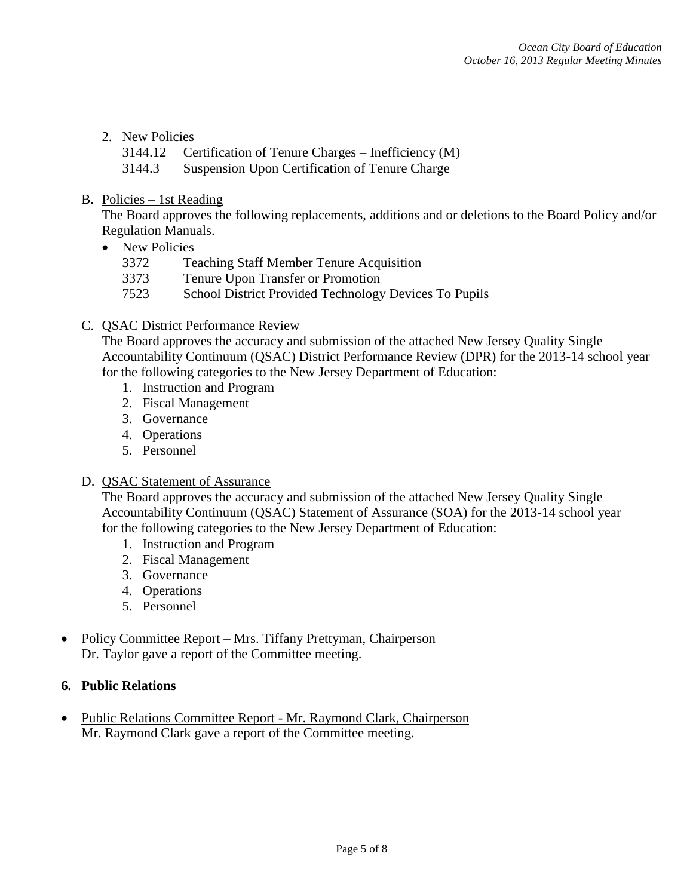## 2. New Policies

3144.12 Certification of Tenure Charges – Inefficiency (M)

3144.3 Suspension Upon Certification of Tenure Charge

## B. Policies – 1st Reading

The Board approves the following replacements, additions and or deletions to the Board Policy and/or Regulation Manuals.

- New Policies
	- 3372 Teaching Staff Member Tenure Acquisition
	- 3373 Tenure Upon Transfer or Promotion
	- 7523 School District Provided Technology Devices To Pupils

## C. QSAC District Performance Review

The Board approves the accuracy and submission of the attached New Jersey Quality Single Accountability Continuum (QSAC) District Performance Review (DPR) for the 2013-14 school year for the following categories to the New Jersey Department of Education:

- 1. Instruction and Program
- 2. Fiscal Management
- 3. Governance
- 4. Operations
- 5. Personnel

## D. QSAC Statement of Assurance

The Board approves the accuracy and submission of the attached New Jersey Quality Single Accountability Continuum (QSAC) Statement of Assurance (SOA) for the 2013-14 school year for the following categories to the New Jersey Department of Education:

- 1. Instruction and Program
- 2. Fiscal Management
- 3. Governance
- 4. Operations
- 5. Personnel
- Policy Committee Report Mrs. Tiffany Prettyman, Chairperson Dr. Taylor gave a report of the Committee meeting.

## **6. Public Relations**

• Public Relations Committee Report - Mr. Raymond Clark, Chairperson Mr. Raymond Clark gave a report of the Committee meeting.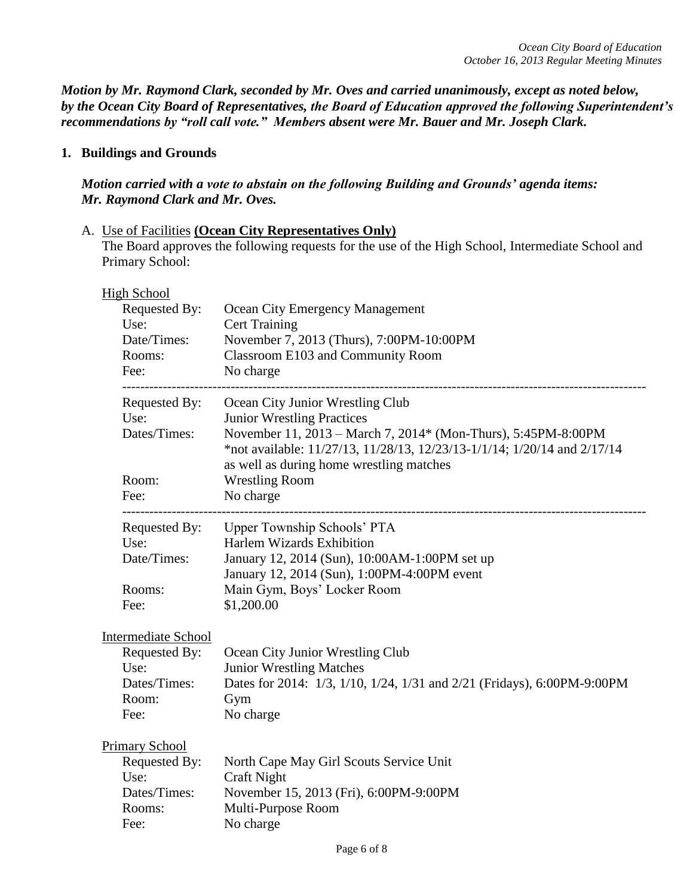*Motion by Mr. Raymond Clark, seconded by Mr. Oves and carried unanimously, except as noted below, by the Ocean City Board of Representatives, the Board of Education approved the following Superintendent's recommendations by "roll call vote." Members absent were Mr. Bauer and Mr. Joseph Clark.*

## **1. Buildings and Grounds**

## *Motion carried with a vote to abstain on the following Building and Grounds' agenda items: Mr. Raymond Clark and Mr. Oves.*

A. Use of Facilities **(Ocean City Representatives Only)** The Board approves the following requests for the use of the High School, Intermediate School and Primary School:

| <b>High School</b>         |                                                                                                                                           |
|----------------------------|-------------------------------------------------------------------------------------------------------------------------------------------|
| Requested By:              | Ocean City Emergency Management                                                                                                           |
| Use:                       | <b>Cert Training</b>                                                                                                                      |
| Date/Times:                | November 7, 2013 (Thurs), 7:00PM-10:00PM                                                                                                  |
| Rooms:                     | Classroom E103 and Community Room                                                                                                         |
| Fee:                       | No charge                                                                                                                                 |
| Requested By:              | Ocean City Junior Wrestling Club                                                                                                          |
| Use:                       | <b>Junior Wrestling Practices</b>                                                                                                         |
| Dates/Times:               | November 11, 2013 - March 7, 2014* (Mon-Thurs), 5:45PM-8:00PM<br>*not available: 11/27/13, 11/28/13, 12/23/13-1/1/14; 1/20/14 and 2/17/14 |
|                            | as well as during home wrestling matches                                                                                                  |
| Room:                      | <b>Wrestling Room</b>                                                                                                                     |
| Fee:                       | No charge                                                                                                                                 |
| Requested By:              | Upper Township Schools' PTA                                                                                                               |
| Use:                       | Harlem Wizards Exhibition                                                                                                                 |
| Date/Times:                | January 12, 2014 (Sun), 10:00AM-1:00PM set up                                                                                             |
|                            | January 12, 2014 (Sun), 1:00PM-4:00PM event                                                                                               |
| Rooms:                     | Main Gym, Boys' Locker Room                                                                                                               |
| Fee:                       | \$1,200.00                                                                                                                                |
| <b>Intermediate School</b> |                                                                                                                                           |
| Requested By:              | Ocean City Junior Wrestling Club                                                                                                          |
| Use:                       | <b>Junior Wrestling Matches</b>                                                                                                           |
| Dates/Times:               | Dates for 2014: 1/3, 1/10, 1/24, 1/31 and 2/21 (Fridays), 6:00PM-9:00PM                                                                   |
| Room:                      | Gym                                                                                                                                       |
| Fee:                       | No charge                                                                                                                                 |
| <b>Primary School</b>      |                                                                                                                                           |
| Requested By:              | North Cape May Girl Scouts Service Unit                                                                                                   |
| Use:                       | <b>Craft Night</b>                                                                                                                        |
| Dates/Times:               | November 15, 2013 (Fri), 6:00PM-9:00PM                                                                                                    |
| Rooms:                     | Multi-Purpose Room                                                                                                                        |
| Fee:                       | No charge                                                                                                                                 |
|                            |                                                                                                                                           |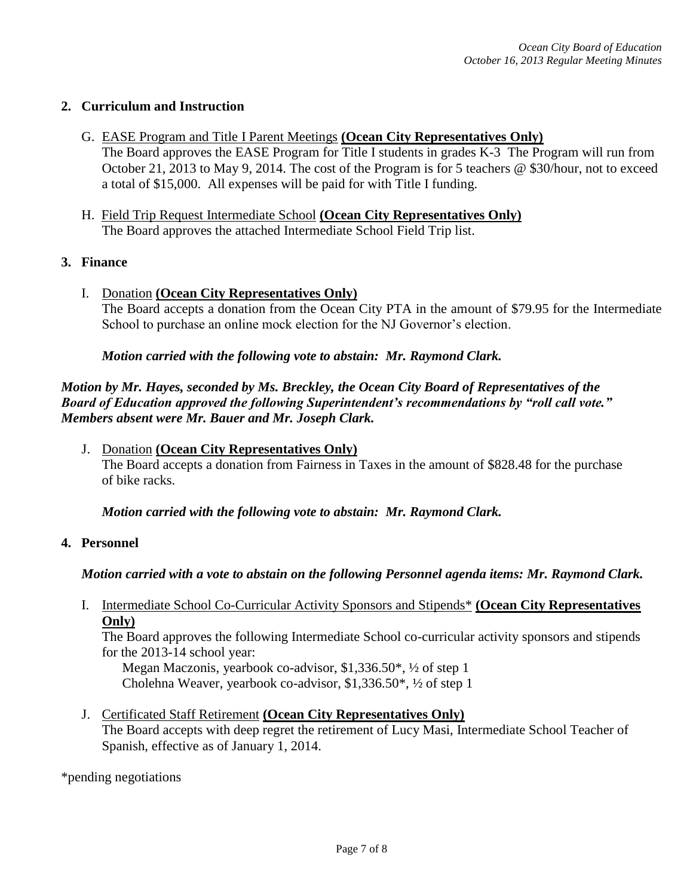## **2. Curriculum and Instruction**

- G. EASE Program and Title I Parent Meetings **(Ocean City Representatives Only)** The Board approves the EASE Program for Title I students in grades K-3 The Program will run from October 21, 2013 to May 9, 2014. The cost of the Program is for 5 teachers @ \$30/hour, not to exceed a total of \$15,000. All expenses will be paid for with Title I funding.
- H. Field Trip Request Intermediate School **(Ocean City Representatives Only)** The Board approves the attached Intermediate School Field Trip list.
- **3. Finance**
	- I. Donation **(Ocean City Representatives Only)** The Board accepts a donation from the Ocean City PTA in the amount of \$79.95 for the Intermediate School to purchase an online mock election for the NJ Governor's election.

*Motion carried with the following vote to abstain: Mr. Raymond Clark.*

*Motion by Mr. Hayes, seconded by Ms. Breckley, the Ocean City Board of Representatives of the Board of Education approved the following Superintendent's recommendations by "roll call vote." Members absent were Mr. Bauer and Mr. Joseph Clark.*

J. Donation **(Ocean City Representatives Only)** The Board accepts a donation from Fairness in Taxes in the amount of \$828.48 for the purchase of bike racks.

*Motion carried with the following vote to abstain: Mr. Raymond Clark.*

## **4. Personnel**

## *Motion carried with a vote to abstain on the following Personnel agenda items: Mr. Raymond Clark.*

I. Intermediate School Co-Curricular Activity Sponsors and Stipends\* **(Ocean City Representatives Only)**

The Board approves the following Intermediate School co-curricular activity sponsors and stipends for the 2013-14 school year:

Megan Maczonis, yearbook co-advisor, \$1,336.50\*, ½ of step 1 Cholehna Weaver, yearbook co-advisor, \$1,336.50\*, ½ of step 1

J. Certificated Staff Retirement **(Ocean City Representatives Only)** The Board accepts with deep regret the retirement of Lucy Masi, Intermediate School Teacher of Spanish, effective as of January 1, 2014.

\*pending negotiations